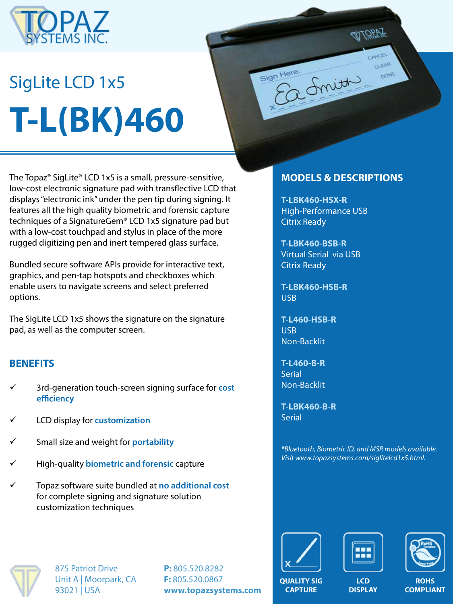

# SigLite LCD 1x5 **T-L(BK)460**

The Topaz® SigLite® LCD 1x5 is a small, pressure-sensitive, low-cost electronic signature pad with transflective LCD that displays "electronic ink" under the pen tip during signing. It features all the high quality biometric and forensic capture techniques of a SignatureGem® LCD 1x5 signature pad but with a low-cost touchpad and stylus in place of the more rugged digitizing pen and inert tempered glass surface.

Bundled secure software APIs provide for interactive text, graphics, and pen-tap hotspots and checkboxes which enable users to navigate screens and select preferred options.

The SigLite LCD 1x5 shows the signature on the signature pad, as well as the computer screen.

#### **BENEFITS**

- ü 3rd-generation touch-screen signing surface for **cost efficiency**
- ü LCD display for **customization**
- ü Small size and weight for **portability**
- ü High-quality **biometric and forensic** capture
- ü Topaz software suite bundled at **no additional cost**  for complete signing and signature solution customization techniques

### **MODELS & DESCRIPTIONS**

CANCEL CLEAR

DONE

**T-LBK460-HSX-R** High-Performance USB Citrix Ready

2 Smith

Sign Here:

**T-LBK460-BSB-R** Virtual Serial via USB Citrix Ready

**T-LBK460-HSB-R** USB

**T-L460-HSB-R** USB Non-Backlit

**T-L460-B-R** Serial Non-Backlit

**T-LBK460-B-R Serial** 

*\*Bluetooth, Biometric ID, and MSR models available. Visit www.topazsystems.com/siglitelcd1x5.html.*



875 Patriot Drive Unit A | Moorpark, CA 93021 | USA

**P:** 805.520.8282 **F:** 805.520.0867 **www.topazsystems.com**







**QUALITY SIG CAPTURE**

**LCD DISPLAY**

**ROHS COMPLIANT**